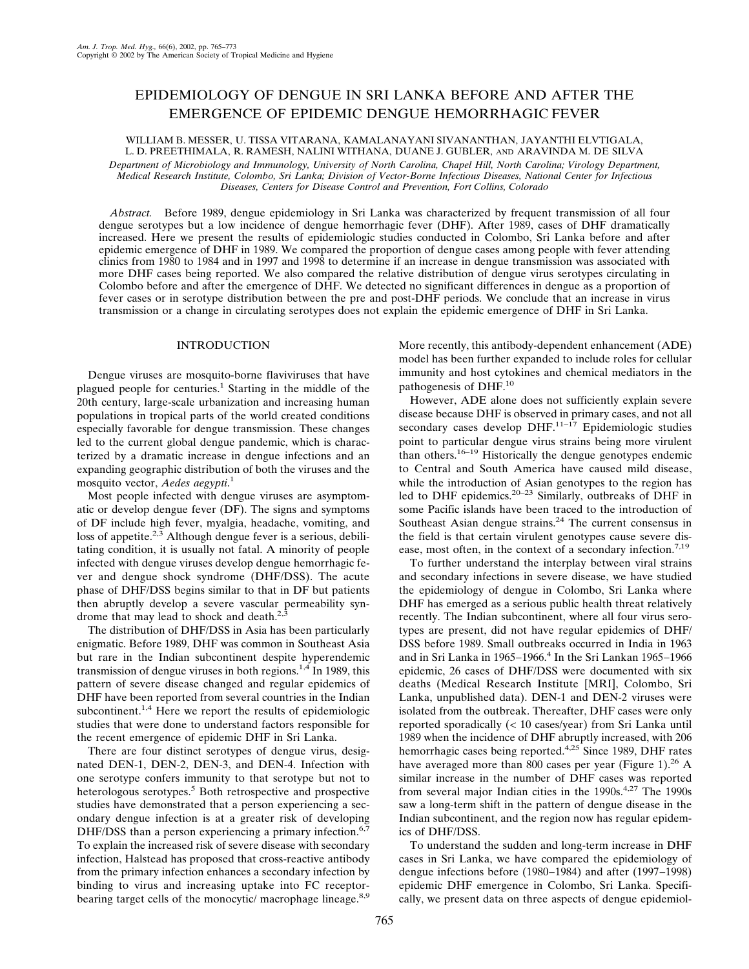# EPIDEMIOLOGY OF DENGUE IN SRI LANKA BEFORE AND AFTER THE EMERGENCE OF EPIDEMIC DENGUE HEMORRHAGIC FEVER

WILLIAM B. MESSER, U. TISSA VITARANA, KAMALANAYANI SIVANANTHAN, JAYANTHI ELVTIGALA,

L. D. PREETHIMALA, R. RAMESH, NALINI WITHANA, DUANE J. GUBLER, AND ARAVINDA M. DE SILVA *Department of Microbiology and Immunology, University of North Carolina, Chapel Hill, North Carolina; Virology Department, Medical Research Institute, Colombo, Sri Lanka; Division of Vector-Borne Infectious Diseases, National Center for Infectious Diseases, Centers for Disease Control and Prevention, Fort Collins, Colorado*

*Abstract.* Before 1989, dengue epidemiology in Sri Lanka was characterized by frequent transmission of all four dengue serotypes but a low incidence of dengue hemorrhagic fever (DHF). After 1989, cases of DHF dramatically increased. Here we present the results of epidemiologic studies conducted in Colombo, Sri Lanka before and after epidemic emergence of DHF in 1989. We compared the proportion of dengue cases among people with fever attending clinics from 1980 to 1984 and in 1997 and 1998 to determine if an increase in dengue transmission was associated with more DHF cases being reported. We also compared the relative distribution of dengue virus serotypes circulating in Colombo before and after the emergence of DHF. We detected no significant differences in dengue as a proportion of fever cases or in serotype distribution between the pre and post-DHF periods. We conclude that an increase in virus transmission or a change in circulating serotypes does not explain the epidemic emergence of DHF in Sri Lanka.

### INTRODUCTION

Dengue viruses are mosquito-borne flaviviruses that have plagued people for centuries.<sup>1</sup> Starting in the middle of the 20th century, large-scale urbanization and increasing human populations in tropical parts of the world created conditions especially favorable for dengue transmission. These changes led to the current global dengue pandemic, which is characterized by a dramatic increase in dengue infections and an expanding geographic distribution of both the viruses and the mosquito vector, *Aedes aegypti*. 1

Most people infected with dengue viruses are asymptomatic or develop dengue fever (DF). The signs and symptoms of DF include high fever, myalgia, headache, vomiting, and loss of appetite.<sup>2,3</sup> Although dengue fever is a serious, debilitating condition, it is usually not fatal. A minority of people infected with dengue viruses develop dengue hemorrhagic fever and dengue shock syndrome (DHF/DSS). The acute phase of DHF/DSS begins similar to that in DF but patients then abruptly develop a severe vascular permeability syndrome that may lead to shock and death. $2$ ,

The distribution of DHF/DSS in Asia has been particularly enigmatic. Before 1989, DHF was common in Southeast Asia but rare in the Indian subcontinent despite hyperendemic transmission of dengue viruses in both regions.<sup>1,4</sup> In 1989, this pattern of severe disease changed and regular epidemics of DHF have been reported from several countries in the Indian subcontinent.<sup>1,4</sup> Here we report the results of epidemiologic studies that were done to understand factors responsible for the recent emergence of epidemic DHF in Sri Lanka.

There are four distinct serotypes of dengue virus, designated DEN-1, DEN-2, DEN-3, and DEN-4. Infection with one serotype confers immunity to that serotype but not to heterologous serotypes.<sup>5</sup> Both retrospective and prospective studies have demonstrated that a person experiencing a secondary dengue infection is at a greater risk of developing DHF/DSS than a person experiencing a primary infection.<sup>6,7</sup> To explain the increased risk of severe disease with secondary infection, Halstead has proposed that cross-reactive antibody from the primary infection enhances a secondary infection by binding to virus and increasing uptake into FC receptorbearing target cells of the monocytic/ macrophage lineage.<sup>8,9</sup> More recently, this antibody-dependent enhancement (ADE) model has been further expanded to include roles for cellular immunity and host cytokines and chemical mediators in the pathogenesis of DHF.10

However, ADE alone does not sufficiently explain severe disease because DHF is observed in primary cases, and not all secondary cases develop  $DHF$ .<sup>11–17</sup> Epidemiologic studies point to particular dengue virus strains being more virulent than others.<sup>16–19</sup> Historically the dengue genotypes endemic to Central and South America have caused mild disease, while the introduction of Asian genotypes to the region has led to DHF epidemics.<sup>20–23</sup> Similarly, outbreaks of DHF in some Pacific islands have been traced to the introduction of Southeast Asian dengue strains.<sup>24</sup> The current consensus in the field is that certain virulent genotypes cause severe disease, most often, in the context of a secondary infection.<sup>7,19</sup>

To further understand the interplay between viral strains and secondary infections in severe disease, we have studied the epidemiology of dengue in Colombo, Sri Lanka where DHF has emerged as a serious public health threat relatively recently. The Indian subcontinent, where all four virus serotypes are present, did not have regular epidemics of DHF/ DSS before 1989. Small outbreaks occurred in India in 1963 and in Sri Lanka in 1965−1966.<sup>4</sup> In the Sri Lankan 1965−1966 epidemic, 26 cases of DHF/DSS were documented with six deaths (Medical Research Institute [MRI], Colombo, Sri Lanka, unpublished data). DEN-1 and DEN-2 viruses were isolated from the outbreak. Thereafter, DHF cases were only reported sporadically (< 10 cases/year) from Sri Lanka until 1989 when the incidence of DHF abruptly increased, with 206 hemorrhagic cases being reported.<sup>4,25</sup> Since 1989, DHF rates have averaged more than 800 cases per year (Figure 1).<sup>26</sup> A similar increase in the number of DHF cases was reported from several major Indian cities in the  $1990s^{4,27}$  The 1990s saw a long-term shift in the pattern of dengue disease in the Indian subcontinent, and the region now has regular epidemics of DHF/DSS.

To understand the sudden and long-term increase in DHF cases in Sri Lanka, we have compared the epidemiology of dengue infections before (1980−1984) and after (1997−1998) epidemic DHF emergence in Colombo, Sri Lanka. Specifically, we present data on three aspects of dengue epidemiol-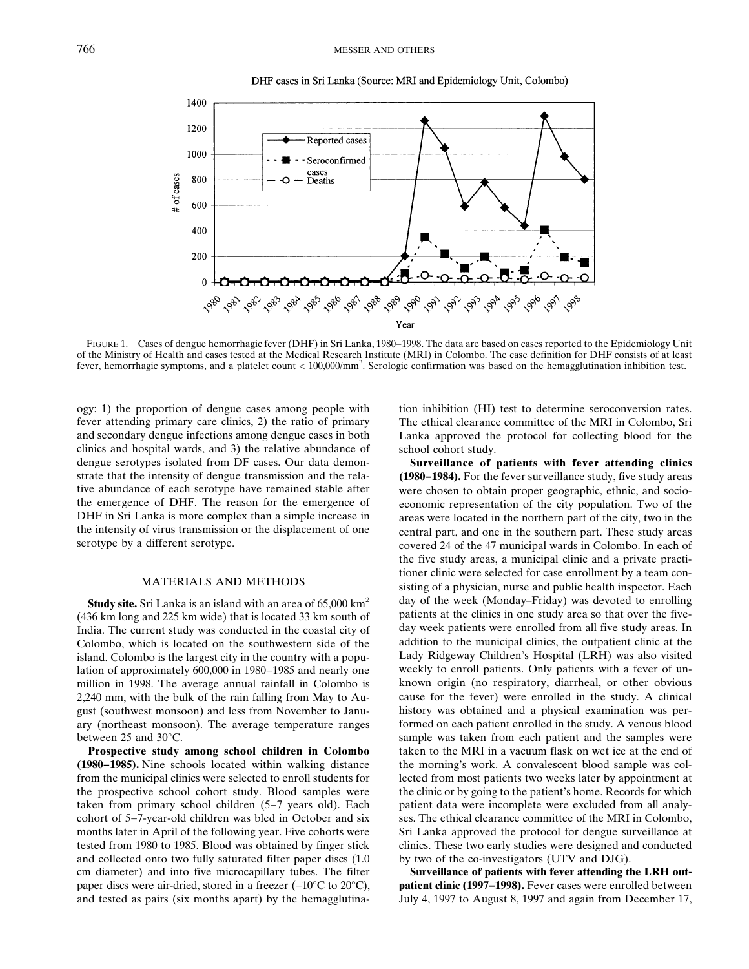DHF cases in Sri Lanka (Source: MRI and Epidemiology Unit, Colombo)



FIGURE 1. Cases of dengue hemorrhagic fever (DHF) in Sri Lanka, 1980−1998. The data are based on cases reported to the Epidemiology Unit of the Ministry of Health and cases tested at the Medical Research Institute (MRI) in Colombo. The case definition for DHF consists of at least fever, hemorrhagic symptoms, and a platelet count < 100,000/mm<sup>3</sup>. Serologic confirmation was based on the hemagglutination inhibition test.

ogy: 1) the proportion of dengue cases among people with fever attending primary care clinics, 2) the ratio of primary and secondary dengue infections among dengue cases in both clinics and hospital wards, and 3) the relative abundance of dengue serotypes isolated from DF cases. Our data demonstrate that the intensity of dengue transmission and the relative abundance of each serotype have remained stable after the emergence of DHF. The reason for the emergence of DHF in Sri Lanka is more complex than a simple increase in the intensity of virus transmission or the displacement of one serotype by a different serotype.

### MATERIALS AND METHODS

**Study site.** Sri Lanka is an island with an area of 65,000 km2 (436 km long and 225 km wide) that is located 33 km south of India. The current study was conducted in the coastal city of Colombo, which is located on the southwestern side of the island. Colombo is the largest city in the country with a population of approximately 600,000 in 1980−1985 and nearly one million in 1998. The average annual rainfall in Colombo is 2,240 mm, with the bulk of the rain falling from May to August (southwest monsoon) and less from November to January (northeast monsoon). The average temperature ranges between 25 and 30°C.

**Prospective study among school children in Colombo (1980−1985).** Nine schools located within walking distance from the municipal clinics were selected to enroll students for the prospective school cohort study. Blood samples were taken from primary school children (5−7 years old). Each cohort of 5−7-year-old children was bled in October and six months later in April of the following year. Five cohorts were tested from 1980 to 1985. Blood was obtained by finger stick and collected onto two fully saturated filter paper discs (1.0 cm diameter) and into five microcapillary tubes. The filter paper discs were air-dried, stored in a freezer (−10°C to 20°C), and tested as pairs (six months apart) by the hemagglutina-

tion inhibition (HI) test to determine seroconversion rates. The ethical clearance committee of the MRI in Colombo, Sri Lanka approved the protocol for collecting blood for the school cohort study.

**Surveillance of patients with fever attending clinics (1980−1984).** For the fever surveillance study, five study areas were chosen to obtain proper geographic, ethnic, and socioeconomic representation of the city population. Two of the areas were located in the northern part of the city, two in the central part, and one in the southern part. These study areas covered 24 of the 47 municipal wards in Colombo. In each of the five study areas, a municipal clinic and a private practitioner clinic were selected for case enrollment by a team consisting of a physician, nurse and public health inspector. Each day of the week (Monday–Friday) was devoted to enrolling patients at the clinics in one study area so that over the fiveday week patients were enrolled from all five study areas. In addition to the municipal clinics, the outpatient clinic at the Lady Ridgeway Children's Hospital (LRH) was also visited weekly to enroll patients. Only patients with a fever of unknown origin (no respiratory, diarrheal, or other obvious cause for the fever) were enrolled in the study. A clinical history was obtained and a physical examination was performed on each patient enrolled in the study. A venous blood sample was taken from each patient and the samples were taken to the MRI in a vacuum flask on wet ice at the end of the morning's work. A convalescent blood sample was collected from most patients two weeks later by appointment at the clinic or by going to the patient's home. Records for which patient data were incomplete were excluded from all analyses. The ethical clearance committee of the MRI in Colombo, Sri Lanka approved the protocol for dengue surveillance at clinics. These two early studies were designed and conducted by two of the co-investigators (UTV and DJG).

Surveillance of patients with fever attending the LRH out**patient clinic (1997−1998).** Fever cases were enrolled between July 4, 1997 to August 8, 1997 and again from December 17,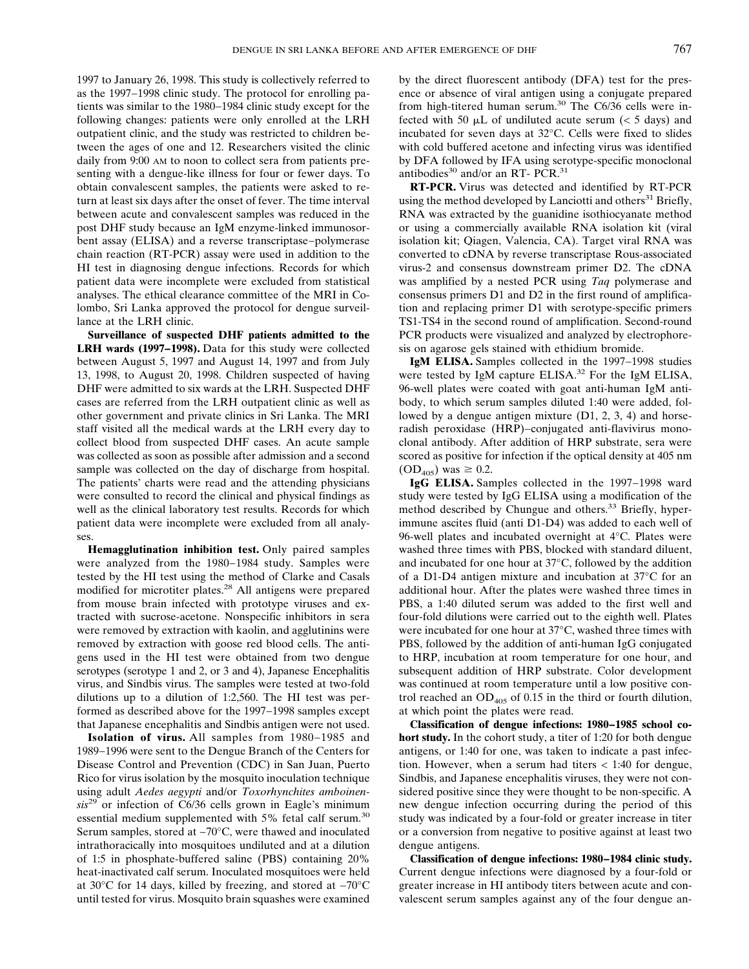1997 to January 26, 1998. This study is collectively referred to as the 1997–1998 clinic study. The protocol for enrolling patients was similar to the 1980−1984 clinic study except for the following changes: patients were only enrolled at the LRH outpatient clinic, and the study was restricted to children between the ages of one and 12. Researchers visited the clinic daily from 9:00 AM to noon to collect sera from patients presenting with a dengue-like illness for four or fewer days. To obtain convalescent samples, the patients were asked to return at least six days after the onset of fever. The time interval between acute and convalescent samples was reduced in the post DHF study because an IgM enzyme-linked immunosorbent assay (ELISA) and a reverse transcriptase−polymerase chain reaction (RT-PCR) assay were used in addition to the HI test in diagnosing dengue infections. Records for which patient data were incomplete were excluded from statistical analyses. The ethical clearance committee of the MRI in Colombo, Sri Lanka approved the protocol for dengue surveillance at the LRH clinic.

**Surveillance of suspected DHF patients admitted to the LRH wards (1997−1998).** Data for this study were collected between August 5, 1997 and August 14, 1997 and from July 13, 1998, to August 20, 1998. Children suspected of having DHF were admitted to six wards at the LRH. Suspected DHF cases are referred from the LRH outpatient clinic as well as other government and private clinics in Sri Lanka. The MRI staff visited all the medical wards at the LRH every day to collect blood from suspected DHF cases. An acute sample was collected as soon as possible after admission and a second sample was collected on the day of discharge from hospital. The patients' charts were read and the attending physicians were consulted to record the clinical and physical findings as well as the clinical laboratory test results. Records for which patient data were incomplete were excluded from all analyses.

**Hemagglutination inhibition test.** Only paired samples were analyzed from the 1980−1984 study. Samples were tested by the HI test using the method of Clarke and Casals modified for microtiter plates.<sup>28</sup> All antigens were prepared from mouse brain infected with prototype viruses and extracted with sucrose-acetone. Nonspecific inhibitors in sera were removed by extraction with kaolin, and agglutinins were removed by extraction with goose red blood cells. The antigens used in the HI test were obtained from two dengue serotypes (serotype 1 and 2, or 3 and 4), Japanese Encephalitis virus, and Sindbis virus. The samples were tested at two-fold dilutions up to a dilution of 1:2,560. The HI test was performed as described above for the 1997–1998 samples except that Japanese encephalitis and Sindbis antigen were not used.

**Isolation of virus.** All samples from 1980-1985 and 1989−1996 were sent to the Dengue Branch of the Centers for Disease Control and Prevention (CDC) in San Juan, Puerto Rico for virus isolation by the mosquito inoculation technique using adult *Aedes aegypti* and/or *Toxorhynchites amboinensis*<sup>29</sup> or infection of C6/36 cells grown in Eagle's minimum essential medium supplemented with 5% fetal calf serum.<sup>30</sup> Serum samples, stored at −70°C, were thawed and inoculated intrathoracically into mosquitoes undiluted and at a dilution of 1:5 in phosphate-buffered saline (PBS) containing 20% heat-inactivated calf serum. Inoculated mosquitoes were held at 30°C for 14 days, killed by freezing, and stored at −70°C until tested for virus. Mosquito brain squashes were examined

by the direct fluorescent antibody (DFA) test for the presence or absence of viral antigen using a conjugate prepared from high-titered human serum.<sup>30</sup> The C6/36 cells were infected with 50  $\mu$ L of undiluted acute serum (< 5 days) and incubated for seven days at 32°C. Cells were fixed to slides with cold buffered acetone and infecting virus was identified by DFA followed by IFA using serotype-specific monoclonal antibodies $^{30}$  and/or an RT- PCR. $^{31}$ 

**RT-PCR.** Virus was detected and identified by RT-PCR using the method developed by Lanciotti and others<sup>31</sup> Briefly, RNA was extracted by the guanidine isothiocyanate method or using a commercially available RNA isolation kit (viral isolation kit; Qiagen, Valencia, CA). Target viral RNA was converted to cDNA by reverse transcriptase Rous-associated virus-2 and consensus downstream primer D2. The cDNA was amplified by a nested PCR using *Taq* polymerase and consensus primers D1 and D2 in the first round of amplification and replacing primer D1 with serotype-specific primers TS1-TS4 in the second round of amplification. Second-round PCR products were visualized and analyzed by electrophoresis on agarose gels stained with ethidium bromide.

IgM ELISA. Samples collected in the 1997–1998 studies were tested by IgM capture ELISA.<sup>32</sup> For the IgM ELISA, 96-well plates were coated with goat anti-human IgM antibody, to which serum samples diluted 1:40 were added, followed by a dengue antigen mixture (D1, 2, 3, 4) and horseradish peroxidase (HRP)−conjugated anti-flavivirus monoclonal antibody. After addition of HRP substrate, sera were scored as positive for infection if the optical density at 405 nm  $(OD_{405})$  was  $\geq 0.2$ .

IgG ELISA. Samples collected in the 1997-1998 ward study were tested by IgG ELISA using a modification of the method described by Chungue and others.<sup>33</sup> Briefly, hyperimmune ascites fluid (anti D1-D4) was added to each well of 96-well plates and incubated overnight at 4°C. Plates were washed three times with PBS, blocked with standard diluent, and incubated for one hour at 37°C, followed by the addition of a D1-D4 antigen mixture and incubation at 37°C for an additional hour. After the plates were washed three times in PBS, a 1:40 diluted serum was added to the first well and four-fold dilutions were carried out to the eighth well. Plates were incubated for one hour at 37°C, washed three times with PBS, followed by the addition of anti-human IgG conjugated to HRP, incubation at room temperature for one hour, and subsequent addition of HRP substrate. Color development was continued at room temperature until a low positive control reached an  $OD_{405}$  of 0.15 in the third or fourth dilution, at which point the plates were read.

**Classification of dengue infections: 1980−1985 school cohort study.** In the cohort study, a titer of 1:20 for both dengue antigens, or 1:40 for one, was taken to indicate a past infection. However, when a serum had titers < 1:40 for dengue, Sindbis, and Japanese encephalitis viruses, they were not considered positive since they were thought to be non-specific. A new dengue infection occurring during the period of this study was indicated by a four-fold or greater increase in titer or a conversion from negative to positive against at least two dengue antigens.

**Classification of dengue infections: 1980−1984 clinic study.** Current dengue infections were diagnosed by a four-fold or greater increase in HI antibody titers between acute and convalescent serum samples against any of the four dengue an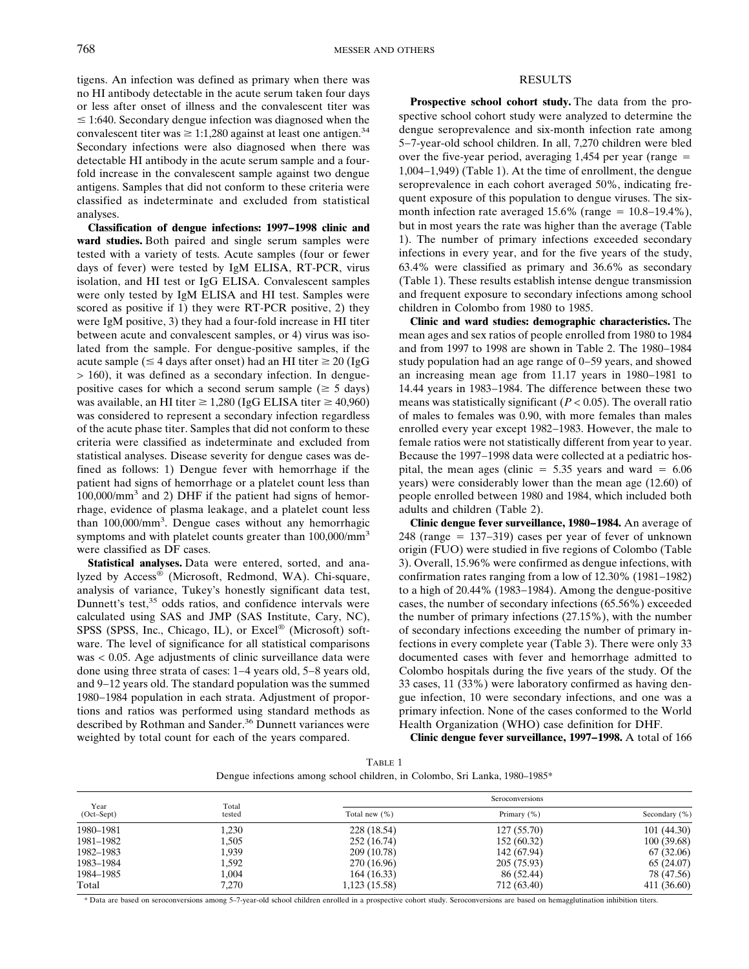tigens. An infection was defined as primary when there was no HI antibody detectable in the acute serum taken four days or less after onset of illness and the convalescent titer was  $\leq$  1:640. Secondary dengue infection was diagnosed when the convalescent titer was  $\geq 1:1,280$  against at least one antigen.<sup>34</sup> Secondary infections were also diagnosed when there was detectable HI antibody in the acute serum sample and a fourfold increase in the convalescent sample against two dengue antigens. Samples that did not conform to these criteria were classified as indeterminate and excluded from statistical analyses.

**Classification of dengue infections: 1997−1998 clinic and ward studies.** Both paired and single serum samples were tested with a variety of tests. Acute samples (four or fewer days of fever) were tested by IgM ELISA, RT-PCR, virus isolation, and HI test or IgG ELISA. Convalescent samples were only tested by IgM ELISA and HI test. Samples were scored as positive if 1) they were RT-PCR positive, 2) they were IgM positive, 3) they had a four-fold increase in HI titer between acute and convalescent samples, or 4) virus was isolated from the sample. For dengue-positive samples, if the acute sample ( $\leq 4$  days after onset) had an HI titer  $\geq 20$  (IgG > 160), it was defined as a secondary infection. In denguepositive cases for which a second serum sample ( $\geq 5$  days) was available, an HI titer  $\geq 1,280$  (IgG ELISA titer  $\geq 40,960$ ) was considered to represent a secondary infection regardless of the acute phase titer. Samples that did not conform to these criteria were classified as indeterminate and excluded from statistical analyses. Disease severity for dengue cases was defined as follows: 1) Dengue fever with hemorrhage if the patient had signs of hemorrhage or a platelet count less than 100,000/mm3 and 2) DHF if the patient had signs of hemorrhage, evidence of plasma leakage, and a platelet count less than 100,000/mm<sup>3</sup> . Dengue cases without any hemorrhagic symptoms and with platelet counts greater than 100,000/mm<sup>3</sup> were classified as DF cases.

**Statistical analyses.** Data were entered, sorted, and analyzed by Access® (Microsoft, Redmond, WA). Chi-square, analysis of variance, Tukey's honestly significant data test, Dunnett's test, $35$  odds ratios, and confidence intervals were calculated using SAS and JMP (SAS Institute, Cary, NC), SPSS (SPSS, Inc., Chicago, IL), or Excel® (Microsoft) software. The level of significance for all statistical comparisons was < 0.05. Age adjustments of clinic surveillance data were done using three strata of cases: 1−4 years old, 5−8years old, and 9−12 years old. The standard population was the summed 1980−1984 population in each strata. Adjustment of proportions and ratios was performed using standard methods as described by Rothman and Sander.<sup>36</sup> Dunnett variances were weighted by total count for each of the years compared.

## RESULTS

**Prospective school cohort study.** The data from the prospective school cohort study were analyzed to determine the dengue seroprevalence and six-month infection rate among 5−7-year-old school children. In all, 7,270 children were bled over the five-year period, averaging 1,454 per year (range  $=$ 1,004−1,949) (Table 1). At the time of enrollment, the dengue seroprevalence in each cohort averaged 50%, indicating frequent exposure of this population to dengue viruses. The sixmonth infection rate averaged 15.6% (range =  $10.8-19.4\%$ ), but in most years the rate was higher than the average (Table 1). The number of primary infections exceeded secondary infections in every year, and for the five years of the study, 63.4% were classified as primary and 36.6% as secondary (Table 1). These results establish intense dengue transmission and frequent exposure to secondary infections among school children in Colombo from 1980 to 1985.

**Clinic and ward studies: demographic characteristics.** The mean ages and sex ratios of people enrolled from 1980 to 1984 and from 1997 to 1998 are shown in Table 2. The 1980−1984 study population had an age range of 0−59 years, and showed an increasing mean age from 11.17 years in 1980−1981 to 14.44 years in 1983−1984. The difference between these two means was statistically significant  $(P < 0.05)$ . The overall ratio of males to females was 0.90, with more females than males enrolled every year except 1982−1983. However, the male to female ratios were not statistically different from year to year. Because the 1997–1998 data were collected at a pediatric hospital, the mean ages (clinic  $= 5.35$  years and ward  $= 6.06$ years) were considerably lower than the mean age (12.60) of people enrolled between 1980 and 1984, which included both adults and children (Table 2).

**Clinic dengue fever surveillance, 1980−1984.** An average of 248 (range =  $137-319$ ) cases per year of fever of unknown origin (FUO) were studied in five regions of Colombo (Table 3). Overall, 15.96% were confirmed as dengue infections, with confirmation rates ranging from a low of 12.30% (1981−1982) to a high of 20.44% (1983−1984). Among the dengue-positive cases, the number of secondary infections (65.56%) exceeded the number of primary infections (27.15%), with the number of secondary infections exceeding the number of primary infections in every complete year (Table 3). There were only 33 documented cases with fever and hemorrhage admitted to Colombo hospitals during the five years of the study. Of the 33 cases, 11 (33%) were laboratory confirmed as having dengue infection, 10 were secondary infections, and one was a primary infection. None of the cases conformed to the World Health Organization (WHO) case definition for DHF.

**Clinic dengue fever surveillance, 1997−1998.** A total of 166

| TABLE 1                                                                    |
|----------------------------------------------------------------------------|
| Dengue infections among school children, in Colombo, Sri Lanka, 1980–1985* |

|                      |                 |                  | Seroconversions |                   |
|----------------------|-----------------|------------------|-----------------|-------------------|
| Year<br>$(Oct-Sept)$ | Total<br>tested | Total new $(\%)$ | Primary $(\%)$  | Secondary $(\% )$ |
| 1980-1981            | 1.230           | 228 (18.54)      | 127(55.70)      | 101 (44.30)       |
| 1981-1982            | 1.505           | 252(16.74)       | 152 (60.32)     | 100(39.68)        |
| 1982-1983            | 1.939           | 209 (10.78)      | 142 (67.94)     | 67 (32.06)        |
| 1983-1984            | 1.592           | 270 (16.96)      | 205 (75.93)     | 65 (24.07)        |
| 1984-1985            | 1.004           | 164 (16.33)      | 86 (52.44)      | 78 (47.56)        |
| Total                | 7,270           | 1,123 (15.58)    | 712 (63.40)     | 411 (36.60)       |

\* Data are based on seroconversions among 5–7-year-old school children enrolled in a prospective cohort study. Seroconversions are based on hemagglutination inhibition titers.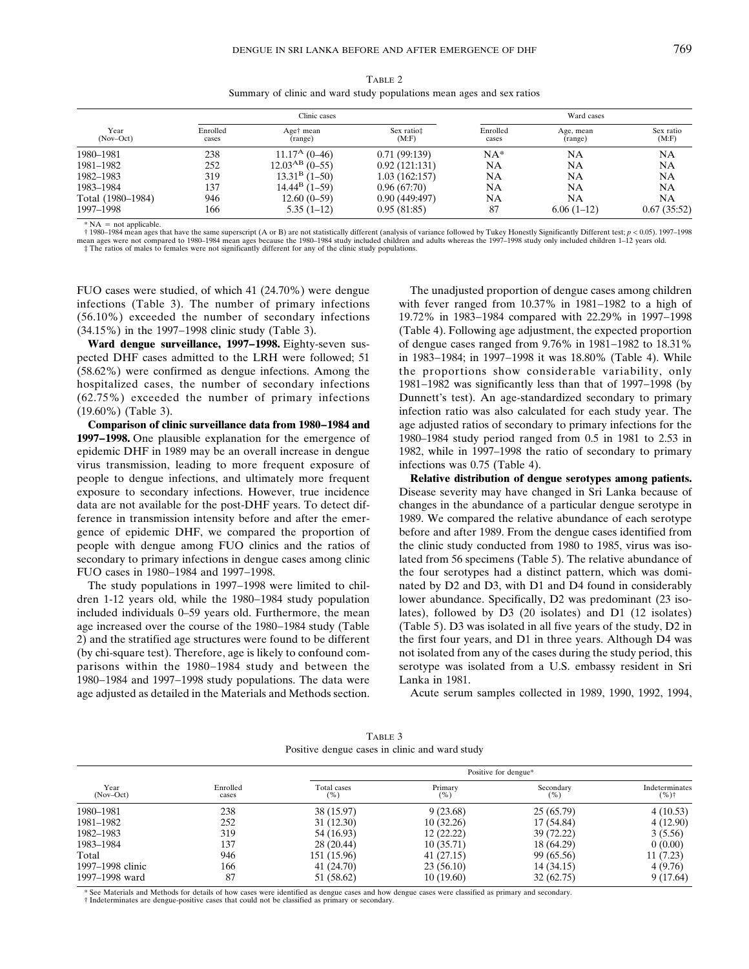| TABLE 2                                                               |  |
|-----------------------------------------------------------------------|--|
| Summary of clinic and ward study populations mean ages and sex ratios |  |

|                     |                   | Clinic cases         |                      |                   | Ward cases           |                     |  |
|---------------------|-------------------|----------------------|----------------------|-------------------|----------------------|---------------------|--|
| Year<br>$(Nov-Oct)$ | Enrolled<br>cases | Age† mean<br>(range) | Sex ratio‡<br>(M: F) | Enrolled<br>cases | Age, mean<br>(range) | Sex ratio<br>(M: F) |  |
| 1980-1981           | 238               | $11.17A$ (0-46)      | 0.71(99:139)         | $NA*$             | NΑ                   | NA                  |  |
| 1981–1982           | 252               | $12.03^{AB}$ (0-55)  | 0.92(121:131)        | NA                | NA                   | NA                  |  |
| 1982-1983           | 319               | $13.31B$ (1-50)      | 1.03(162:157)        | NA                | NA                   | NA                  |  |
| 1983-1984           | 137               | $14.44B$ (1-59)      | 0.96(67:70)          | NA                | NΑ                   | NA                  |  |
| Total (1980–1984)   | 946               | $12.60(0-59)$        | 0.90(449:497)        | NA                | NA                   | NA                  |  |
| 1997–1998           | 166               | $5.35(1-12)$         | 0.95(81:85)          | 87                | $6.06(1-12)$         | 0.67(35:52)         |  |

 $* NA = not applicable$ 

† 1980–1984 mean ages that have the same superscript (A or B) are not statistically different (analysis of variance followed by Tukey Honestly Significantly Different test; *p* < 0.05). 1997–1998 mean ages were not compared to 1980–1984 mean ages because the 1980–1984 study included children and adults whereas the 1997–1998 study only included children 1–12 years old.<br>Fine ratios of males to females were not signif

FUO cases were studied, of which 41 (24.70%) were dengue infections (Table 3). The number of primary infections (56.10%) exceeded the number of secondary infections (34.15%) in the 1997–1998 clinic study (Table 3).

**Ward dengue surveillance, 1997−1998.** Eighty-seven suspected DHF cases admitted to the LRH were followed; 51 (58.62%) were confirmed as dengue infections. Among the hospitalized cases, the number of secondary infections (62.75%) exceeded the number of primary infections (19.60%) (Table 3).

Comparison of clinic surveillance data from 1980-1984 and **1997−1998.** One plausible explanation for the emergence of epidemic DHF in 1989 may be an overall increase in dengue virus transmission, leading to more frequent exposure of people to dengue infections, and ultimately more frequent exposure to secondary infections. However, true incidence data are not available for the post-DHF years. To detect difference in transmission intensity before and after the emergence of epidemic DHF, we compared the proportion of people with dengue among FUO clinics and the ratios of secondary to primary infections in dengue cases among clinic FUO cases in 1980−1984 and 1997−1998.

The study populations in 1997–1998 were limited to children 1-12 years old, while the 1980−1984 study population included individuals 0–59 years old. Furthermore, the mean age increased over the course of the 1980−1984 study (Table 2) and the stratified age structures were found to be different (by chi-square test). Therefore, age is likely to confound comparisons within the 1980−1984 study and between the 1980−1984 and 1997−1998 study populations. The data were age adjusted as detailed in the Materials and Methods section.

The unadjusted proportion of dengue cases among children with fever ranged from 10.37% in 1981−1982 to a high of 19.72% in 1983−1984 compared with 22.29% in 1997−1998 (Table 4). Following age adjustment, the expected proportion of dengue cases ranged from 9.76% in 1981−1982 to 18.31% in 1983−1984; in 1997−1998 it was 18.80% (Table 4). While the proportions show considerable variability, only 1981−1982 was significantly less than that of 1997−1998 (by Dunnett's test). An age-standardized secondary to primary infection ratio was also calculated for each study year. The age adjusted ratios of secondary to primary infections for the 1980–1984 study period ranged from 0.5 in 1981 to 2.53 in 1982, while in 1997–1998 the ratio of secondary to primary infections was 0.75 (Table 4).

Relative distribution of dengue serotypes among patients. Disease severity may have changed in Sri Lanka because of changes in the abundance of a particular dengue serotype in 1989. We compared the relative abundance of each serotype before and after 1989. From the dengue cases identified from the clinic study conducted from 1980 to 1985, virus was isolated from 56 specimens (Table 5). The relative abundance of the four serotypes had a distinct pattern, which was dominated by D2 and D3, with D1 and D4 found in considerably lower abundance. Specifically, D2 was predominant (23 isolates), followed by D3 (20 isolates) and D1 (12 isolates) (Table 5). D3 was isolated in all five years of the study, D2 in the first four years, and D1 in three years. Although D4 was not isolated from any of the cases during the study period, this serotype was isolated from a U.S. embassy resident in Sri Lanka in 1981.

Acute serum samples collected in 1989, 1990, 1992, 1994,

TABLE 3 Positive dengue cases in clinic and ward study

| Year<br>$(Nov-Oct)$ |                   |                    | Positive for dengue* |                      |                                   |  |  |
|---------------------|-------------------|--------------------|----------------------|----------------------|-----------------------------------|--|--|
|                     | Enrolled<br>cases | Total cases<br>(%) | Primary<br>(%)       | Secondary<br>$(\% )$ | Indeterminates<br>$(%)^{\dagger}$ |  |  |
| 1980–1981           | 238               | 38 (15.97)         | 9(23.68)             | 25(65.79)            | 4(10.53)                          |  |  |
| 1981–1982           | 252               | 31 (12.30)         | 10(32.26)            | 17 (54.84)           | 4(12.90)                          |  |  |
| 1982–1983           | 319               | 54 (16.93)         | 12(22.22)            | 39 (72.22)           | 3(5.56)                           |  |  |
| 1983–1984           | 137               | 28(20.44)          | 10(35.71)            | 18 (64.29)           | 0(0.00)                           |  |  |
| Total               | 946               | 151 (15.96)        | 41 (27.15)           | 99 (65.56)           | 11 (7.23)                         |  |  |
| 1997–1998 clinic    | 166               | 41 (24.70)         | 23(56.10)            | 14 (34.15)           | 4(9.76)                           |  |  |
| 1997–1998 ward      | 87                | 51 (58.62)         | 10(19.60)            | 32 (62.75)           | 9(17.64)                          |  |  |
|                     |                   |                    |                      |                      |                                   |  |  |

\* See Materials and Methods for details of how cases were identified as dengue cases and how dengue cases were classified as primary and secondary.

† Indeterminates are dengue-positive cases that could not be classified as primary or secondary.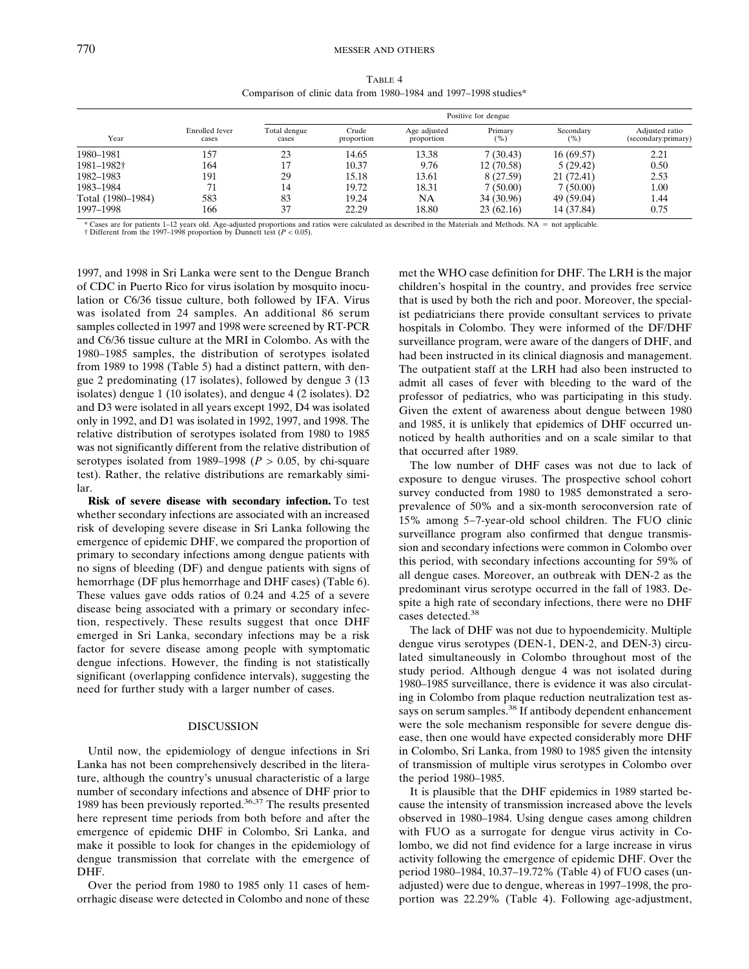| TABLE 4                                                         |
|-----------------------------------------------------------------|
| Comparison of clinic data from 1980–1984 and 1997–1998 studies* |

| Year              |                         | Positive for dengue   |                     |                            |                |                   |                                        |
|-------------------|-------------------------|-----------------------|---------------------|----------------------------|----------------|-------------------|----------------------------------------|
|                   | Enrolled fever<br>cases | Total dengue<br>cases | Crude<br>proportion | Age adjusted<br>proportion | Primary<br>(%) | Secondary<br>( %) | Adjusted ratio<br>(secondary: primary) |
| 1980-1981         | 157                     | 23                    | 14.65               | 13.38                      | 7(30.43)       | 16(69.57)         | 2.21                                   |
| 1981-1982†        | 164                     | 17                    | 10.37               | 9.76                       | 12 (70.58)     | 5(29.42)          | 0.50                                   |
| 1982-1983         | 191                     | 29                    | 15.18               | 13.61                      | 8 (27.59)      | 21(72.41)         | 2.53                                   |
| 1983-1984         | 71                      | 14                    | 19.72               | 18.31                      | 7(50.00)       | 7(50.00)          | 1.00                                   |
| Total (1980–1984) | 583                     | 83                    | 19.24               | NΑ                         | 34 (30.96)     | 49 (59.04)        | 1.44                                   |
| 1997–1998         | 166                     | 37                    | 22.29               | 18.80                      | 23(62.16)      | 14 (37.84)        | 0.75                                   |

\* Cases are for patients 1–12 years old. Age-adjusted proportions and ratios were calculated as described in the Materials and Methods. NA not applicable. † Different from the 1997–1998 proportion by Dunnett test  $(P < 0.05)$ .

1997, and 1998 in Sri Lanka were sent to the Dengue Branch of CDC in Puerto Rico for virus isolation by mosquito inoculation or C6/36 tissue culture, both followed by IFA. Virus was isolated from 24 samples. An additional 86 serum samples collected in 1997 and 1998 were screened by RT-PCR and C6/36 tissue culture at the MRI in Colombo. As with the 1980–1985 samples, the distribution of serotypes isolated from 1989 to 1998 (Table 5) had a distinct pattern, with dengue 2 predominating (17 isolates), followed by dengue 3 (13 isolates) dengue 1 (10 isolates), and dengue 4 (2 isolates). D2 and D3 were isolated in all years except 1992, D4 was isolated only in 1992, and D1 was isolated in 1992, 1997, and 1998. The relative distribution of serotypes isolated from 1980 to 1985 was not significantly different from the relative distribution of serotypes isolated from 1989–1998 ( $P > 0.05$ , by chi-square test). Rather, the relative distributions are remarkably similar.

**Risk of severe disease with secondary infection.** To test whether secondary infections are associated with an increased risk of developing severe disease in Sri Lanka following the emergence of epidemic DHF, we compared the proportion of primary to secondary infections among dengue patients with no signs of bleeding (DF) and dengue patients with signs of hemorrhage (DF plus hemorrhage and DHF cases) (Table 6). These values gave odds ratios of 0.24 and 4.25 of a severe disease being associated with a primary or secondary infection, respectively. These results suggest that once DHF emerged in Sri Lanka, secondary infections may be a risk factor for severe disease among people with symptomatic dengue infections. However, the finding is not statistically significant (overlapping confidence intervals), suggesting the need for further study with a larger number of cases.

### DISCUSSION

Until now, the epidemiology of dengue infections in Sri Lanka has not been comprehensively described in the literature, although the country's unusual characteristic of a large number of secondary infections and absence of DHF prior to 1989 has been previously reported.<sup>36,37</sup> The results presented here represent time periods from both before and after the emergence of epidemic DHF in Colombo, Sri Lanka, and make it possible to look for changes in the epidemiology of dengue transmission that correlate with the emergence of DHF.

Over the period from 1980 to 1985 only 11 cases of hemorrhagic disease were detected in Colombo and none of these met the WHO case definition for DHF. The LRH is the major children's hospital in the country, and provides free service that is used by both the rich and poor. Moreover, the specialist pediatricians there provide consultant services to private hospitals in Colombo. They were informed of the DF/DHF surveillance program, were aware of the dangers of DHF, and had been instructed in its clinical diagnosis and management. The outpatient staff at the LRH had also been instructed to admit all cases of fever with bleeding to the ward of the professor of pediatrics, who was participating in this study. Given the extent of awareness about dengue between 1980 and 1985, it is unlikely that epidemics of DHF occurred unnoticed by health authorities and on a scale similar to that that occurred after 1989.

The low number of DHF cases was not due to lack of exposure to dengue viruses. The prospective school cohort survey conducted from 1980 to 1985 demonstrated a seroprevalence of 50% and a six-month seroconversion rate of 15% among 5−7-year-old school children. The FUO clinic surveillance program also confirmed that dengue transmission and secondary infections were common in Colombo over this period, with secondary infections accounting for 59% of all dengue cases. Moreover, an outbreak with DEN-2 as the predominant virus serotype occurred in the fall of 1983. Despite a high rate of secondary infections, there were no DHF cases detected.<sup>38</sup>

The lack of DHF was not due to hypoendemicity. Multiple dengue virus serotypes (DEN-1, DEN-2, and DEN-3) circulated simultaneously in Colombo throughout most of the study period. Although dengue 4 was not isolated during 1980–1985 surveillance, there is evidence it was also circulating in Colombo from plaque reduction neutralization test assays on serum samples.<sup>38</sup> If antibody dependent enhancement were the sole mechanism responsible for severe dengue disease, then one would have expected considerably more DHF in Colombo, Sri Lanka, from 1980 to 1985 given the intensity of transmission of multiple virus serotypes in Colombo over the period 1980–1985.

It is plausible that the DHF epidemics in 1989 started because the intensity of transmission increased above the levels observed in 1980–1984. Using dengue cases among children with FUO as a surrogate for dengue virus activity in Colombo, we did not find evidence for a large increase in virus activity following the emergence of epidemic DHF. Over the period 1980–1984, 10.37–19.72% (Table 4) of FUO cases (unadjusted) were due to dengue, whereas in 1997–1998, the proportion was 22.29% (Table 4). Following age-adjustment,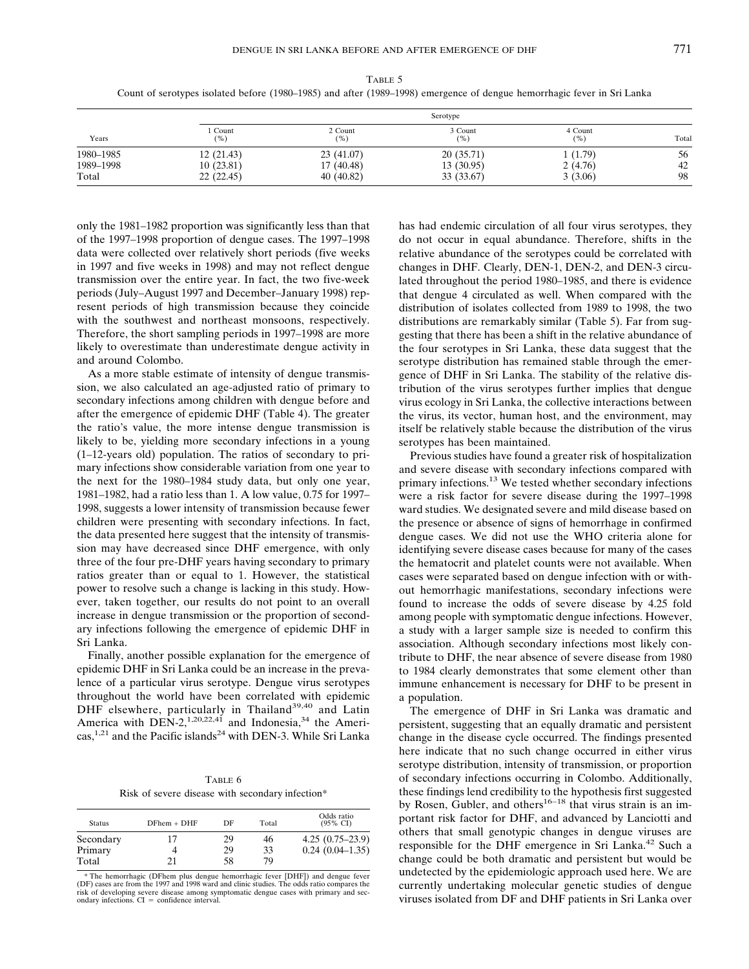|           |                 |                 | Serotype        |                 |       |
|-----------|-----------------|-----------------|-----------------|-----------------|-------|
| Years     | l Count<br>( %) | 2 Count<br>(% ) | 3 Count<br>(% ) | 4 Count<br>( %) | Total |
| 1980–1985 | 12(21.43)       | 23(41.07)       | 20(35.71)       | 1(1.79)         | 56    |
| 1989–1998 | 10(23.81)       | 17 (40.48)      | 13(30.95)       | 2(4.76)         | 42    |
| Total     | 22(22.45)       | 40(40.82)       | 33 (33.67)      | 3(3.06)         | 98    |

TABLE 5 Count of serotypes isolated before (1980–1985) and after (1989–1998) emergence of dengue hemorrhagic fever in Sri Lanka

only the 1981–1982 proportion was significantly less than that of the 1997–1998 proportion of dengue cases. The 1997–1998 data were collected over relatively short periods (five weeks in 1997 and five weeks in 1998) and may not reflect dengue transmission over the entire year. In fact, the two five-week periods (July–August 1997 and December–January 1998) represent periods of high transmission because they coincide with the southwest and northeast monsoons, respectively. Therefore, the short sampling periods in 1997–1998 are more likely to overestimate than underestimate dengue activity in and around Colombo.

As a more stable estimate of intensity of dengue transmission, we also calculated an age-adjusted ratio of primary to secondary infections among children with dengue before and after the emergence of epidemic DHF (Table 4). The greater the ratio's value, the more intense dengue transmission is likely to be, yielding more secondary infections in a young (1–12-years old) population. The ratios of secondary to primary infections show considerable variation from one year to the next for the 1980–1984 study data, but only one year, 1981–1982, had a ratio less than 1. A low value, 0.75 for 1997– 1998, suggests a lower intensity of transmission because fewer children were presenting with secondary infections. In fact, the data presented here suggest that the intensity of transmission may have decreased since DHF emergence, with only three of the four pre-DHF years having secondary to primary ratios greater than or equal to 1. However, the statistical power to resolve such a change is lacking in this study. However, taken together, our results do not point to an overall increase in dengue transmission or the proportion of secondary infections following the emergence of epidemic DHF in Sri Lanka.

Finally, another possible explanation for the emergence of epidemic DHF in Sri Lanka could be an increase in the prevalence of a particular virus serotype. Dengue virus serotypes throughout the world have been correlated with epidemic DHF elsewhere, particularly in Thailand<sup>39,40</sup> and Latin America with  $DEN-2$ ,<sup>1,20,22,41</sup> and Indonesia,<sup>34</sup> the Ameri- $\cos^{1,21}$  and the Pacific islands<sup>24</sup> with DEN-3. While Sri Lanka

TABLE 6 Risk of severe disease with secondary infection\*

| <b>Status</b> | $DFhem + DHF$ | DF | Total | Odds ratio<br>$(95\% \text{ CI})$ |
|---------------|---------------|----|-------|-----------------------------------|
| Secondary     | 17            | 29 | 46    | $4.25(0.75-23.9)$                 |
| Primary       |               | 29 | 33    | $0.24(0.04-1.35)$                 |
| Total         | 21            | 58 | 79    |                                   |

\* The hemorrhagic (DFhem plus dengue hemorrhagic fever [DHF]) and dengue fever (DF) cases are from the 1997 and 1998 ward and clinic studies. The odds ratio compares the risk of developing severe disease among symptomatic dengue cases with primary and secondary infections.  $CI =$  confidence interval.

has had endemic circulation of all four virus serotypes, they do not occur in equal abundance. Therefore, shifts in the relative abundance of the serotypes could be correlated with changes in DHF. Clearly, DEN-1, DEN-2, and DEN-3 circulated throughout the period 1980–1985, and there is evidence that dengue 4 circulated as well. When compared with the distribution of isolates collected from 1989 to 1998, the two distributions are remarkably similar (Table 5). Far from suggesting that there has been a shift in the relative abundance of the four serotypes in Sri Lanka, these data suggest that the serotype distribution has remained stable through the emergence of DHF in Sri Lanka. The stability of the relative distribution of the virus serotypes further implies that dengue virus ecology in Sri Lanka, the collective interactions between the virus, its vector, human host, and the environment, may itself be relatively stable because the distribution of the virus serotypes has been maintained.

Previous studies have found a greater risk of hospitalization and severe disease with secondary infections compared with primary infections.<sup>13</sup> We tested whether secondary infections were a risk factor for severe disease during the 1997–1998 ward studies. We designated severe and mild disease based on the presence or absence of signs of hemorrhage in confirmed dengue cases. We did not use the WHO criteria alone for identifying severe disease cases because for many of the cases the hematocrit and platelet counts were not available. When cases were separated based on dengue infection with or without hemorrhagic manifestations, secondary infections were found to increase the odds of severe disease by 4.25 fold among people with symptomatic dengue infections. However, a study with a larger sample size is needed to confirm this association. Although secondary infections most likely contribute to DHF, the near absence of severe disease from 1980 to 1984 clearly demonstrates that some element other than immune enhancement is necessary for DHF to be present in a population.

The emergence of DHF in Sri Lanka was dramatic and persistent, suggesting that an equally dramatic and persistent change in the disease cycle occurred. The findings presented here indicate that no such change occurred in either virus serotype distribution, intensity of transmission, or proportion of secondary infections occurring in Colombo. Additionally, these findings lend credibility to the hypothesis first suggested by Rosen, Gubler, and others<sup>16−18</sup> that virus strain is an important risk factor for DHF, and advanced by Lanciotti and others that small genotypic changes in dengue viruses are responsible for the DHF emergence in Sri Lanka.<sup>42</sup> Such a change could be both dramatic and persistent but would be undetected by the epidemiologic approach used here. We are currently undertaking molecular genetic studies of dengue viruses isolated from DF and DHF patients in Sri Lanka over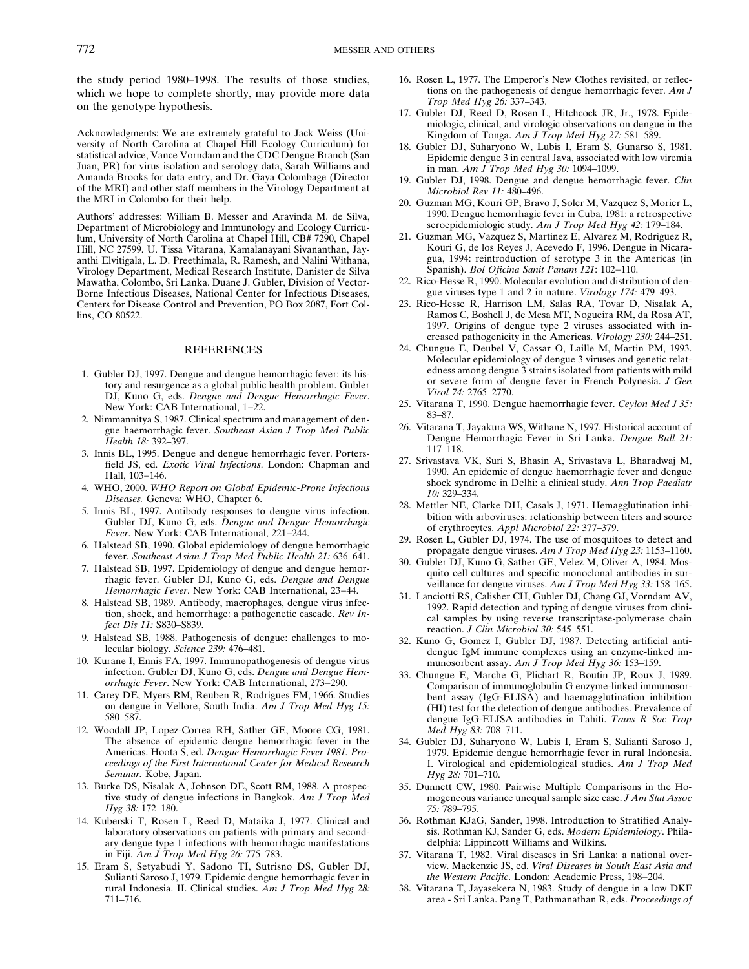the study period 1980–1998. The results of those studies, which we hope to complete shortly, may provide more data on the genotype hypothesis.

Acknowledgments: We are extremely grateful to Jack Weiss (University of North Carolina at Chapel Hill Ecology Curriculum) for statistical advice, Vance Vorndam and the CDC Dengue Branch (San Juan, PR) for virus isolation and serology data, Sarah Williams and Amanda Brooks for data entry, and Dr. Gaya Colombage (Director of the MRI) and other staff members in the Virology Department at the MRI in Colombo for their help.

Authors' addresses: William B. Messer and Aravinda M. de Silva, Department of Microbiology and Immunology and Ecology Curriculum, University of North Carolina at Chapel Hill, CB# 7290, Chapel Hill, NC 27599. U. Tissa Vitarana, Kamalanayani Sivananthan, Jayanthi Elvitigala, L. D. Preethimala, R. Ramesh, and Nalini Withana, Virology Department, Medical Research Institute, Danister de Silva Mawatha, Colombo, Sri Lanka. Duane J. Gubler, Division of Vector-Borne Infectious Diseases, National Center for Infectious Diseases, Centers for Disease Control and Prevention, PO Box 2087, Fort Collins, CO 80522.

#### REFERENCES

- 1. Gubler DJ, 1997. Dengue and dengue hemorrhagic fever: its history and resurgence as a global public health problem. Gubler DJ, Kuno G, eds. *Dengue and Dengue Hemorrhagic Fever*. New York: CAB International, 1−22.
- 2. Nimmannitya S, 1987. Clinical spectrum and management of dengue haemorrhagic fever. *Southeast Asian J Trop Med Public Health 18:* 392–397.
- 3. Innis BL, 1995. Dengue and dengue hemorrhagic fever. Portersfield JS, ed. *Exotic Viral Infections*. London: Chapman and Hall, 103−146.
- 4. WHO, 2000. *WHO Report on Global Epidemic-Prone Infectious Diseases.* Geneva: WHO, Chapter 6.
- 5. Innis BL, 1997. Antibody responses to dengue virus infection. Gubler DJ, Kuno G, eds. *Dengue and Dengue Hemorrhagic Fever*. New York: CAB International, 221−244.
- 6. Halstead SB, 1990. Global epidemiology of dengue hemorrhagic fever. *Southeast Asian J Trop Med Public Health 21:* 636–641.
- 7. Halstead SB, 1997. Epidemiology of dengue and dengue hemorrhagic fever. Gubler DJ, Kuno G, eds. *Dengue and Dengue Hemorrhagic Fever*. New York: CAB International, 23−44.
- 8. Halstead SB, 1989. Antibody, macrophages, dengue virus infection, shock, and hemorrhage: a pathogenetic cascade. *Rev Infect Dis 11:* S830–S839.
- 9. Halstead SB, 1988. Pathogenesis of dengue: challenges to molecular biology. *Science 239:* 476–481.
- 10. Kurane I, Ennis FA, 1997. Immunopathogenesis of dengue virus infection. Gubler DJ, Kuno G, eds. *Dengue and Dengue Hemorrhagic Fever*. New York: CAB International, 273−290.
- 11. Carey DE, Myers RM, Reuben R, Rodrigues FM, 1966. Studies on dengue in Vellore, South India. *Am J Trop Med Hyg 15:* 580–587.
- 12. Woodall JP, Lopez-Correa RH, Sather GE, Moore CG, 1981. The absence of epidemic dengue hemorrhagic fever in the Americas. Hoota S, ed. *Dengue Hemorrhagic Fever 1981. Proceedings of the First International Center for Medical Research Seminar.* Kobe, Japan.
- 13. Burke DS, Nisalak A, Johnson DE, Scott RM, 1988. A prospective study of dengue infections in Bangkok. *Am J Trop Med Hyg 38:* 172–180.
- 14. Kuberski T, Rosen L, Reed D, Mataika J, 1977. Clinical and laboratory observations on patients with primary and secondary dengue type 1 infections with hemorrhagic manifestations in Fiji. *Am J Trop Med Hyg 26:* 775–783.
- 15. Eram S, Setyabudi Y, Sadono TI, Sutrisno DS, Gubler DJ, Sulianti Saroso J, 1979. Epidemic dengue hemorrhagic fever in rural Indonesia. II. Clinical studies. *Am J Trop Med Hyg 28:* 711–716.
- 16. Rosen L, 1977. The Emperor's New Clothes revisited, or reflections on the pathogenesis of dengue hemorrhagic fever. *Am J Trop Med Hyg 26:* 337–343.
- 17. Gubler DJ, Reed D, Rosen L, Hitchcock JR, Jr., 1978. Epidemiologic, clinical, and virologic observations on dengue in the Kingdom of Tonga. *Am J Trop Med Hyg 27:* 581–589.
- 18. Gubler DJ, Suharyono W, Lubis I, Eram S, Gunarso S, 1981. Epidemic dengue 3 in central Java, associated with low viremia in man. *Am J Trop Med Hyg 30:* 1094–1099.
- 19. Gubler DJ, 1998. Dengue and dengue hemorrhagic fever. *Clin Microbiol Rev 11:* 480–496.
- 20. Guzman MG, Kouri GP, Bravo J, Soler M, Vazquez S, Morier L, 1990. Dengue hemorrhagic fever in Cuba, 1981: a retrospective seroepidemiologic study. *Am J Trop Med Hyg 42:* 179–184.
- 21. Guzman MG, Vazquez S, Martinez E, Alvarez M, Rodriguez R, Kouri G, de los Reyes J, Acevedo F, 1996. Dengue in Nicaragua, 1994: reintroduction of serotype 3 in the Americas (in Spanish). *Bol Oficina Sanit Panam 121*: 102−110.
- 22. Rico-Hesse R, 1990. Molecular evolution and distribution of dengue viruses type 1 and 2 in nature. *Virology 174:* 479–493.
- 23. Rico-Hesse R, Harrison LM, Salas RA, Tovar D, Nisalak A, Ramos C, Boshell J, de Mesa MT, Nogueira RM, da Rosa AT, 1997. Origins of dengue type 2 viruses associated with increased pathogenicity in the Americas. *Virology 230:* 244–251.
- 24. Chungue E, Deubel V, Cassar O, Laille M, Martin PM, 1993. Molecular epidemiology of dengue 3 viruses and genetic relatedness among dengue 3 strains isolated from patients with mild or severe form of dengue fever in French Polynesia. *J Gen Virol 74:* 2765–2770.
- 25. Vitarana T, 1990. Dengue haemorrhagic fever. *Ceylon Med J 35:* 83–87.
- 26. Vitarana T, Jayakura WS, Withane N, 1997. Historical account of Dengue Hemorrhagic Fever in Sri Lanka. *Dengue Bull 21:* 117–118.
- 27. Srivastava VK, Suri S, Bhasin A, Srivastava L, Bharadwaj M, 1990. An epidemic of dengue haemorrhagic fever and dengue shock syndrome in Delhi: a clinical study. *Ann Trop Paediatr 10:* 329–334.
- 28. Mettler NE, Clarke DH, Casals J, 1971. Hemagglutination inhibition with arboviruses: relationship between titers and source of erythrocytes. *Appl Microbiol 22:* 377–379.
- 29. Rosen L, Gubler DJ, 1974. The use of mosquitoes to detect and propagate dengue viruses. *Am J Trop Med Hyg 23:* 1153–1160.
- 30. Gubler DJ, Kuno G, Sather GE, Velez M, Oliver A, 1984. Mosquito cell cultures and specific monoclonal antibodies in surveillance for dengue viruses. *Am J Trop Med Hyg 33:* 158–165.
- 31. Lanciotti RS, Calisher CH, Gubler DJ, Chang GJ, Vorndam AV, 1992. Rapid detection and typing of dengue viruses from clinical samples by using reverse transcriptase-polymerase chain reaction. *J Clin Microbiol 30:* 545–551.
- 32. Kuno G, Gomez I, Gubler DJ, 1987. Detecting artificial antidengue IgM immune complexes using an enzyme-linked immunosorbent assay. *Am J Trop Med Hyg 36:* 153–159.
- 33. Chungue E, Marche G, Plichart R, Boutin JP, Roux J, 1989. Comparison of immunoglobulin G enzyme-linked immunosorbent assay (IgG-ELISA) and haemagglutination inhibition (HI) test for the detection of dengue antibodies. Prevalence of dengue IgG-ELISA antibodies in Tahiti. *Trans R Soc Trop Med Hyg 83:* 708–711.
- 34. Gubler DJ, Suharyono W, Lubis I, Eram S, Sulianti Saroso J, 1979. Epidemic dengue hemorrhagic fever in rural Indonesia. I. Virological and epidemiological studies. *Am J Trop Med Hyg 28:* 701–710.
- 35. Dunnett CW, 1980. Pairwise Multiple Comparisons in the Homogeneous variance unequal sample size case. *J Am Stat Assoc 75:* 789–795.
- 36. Rothman KJaG, Sander, 1998. Introduction to Stratified Analysis. Rothman KJ, Sander G, eds. *Modern Epidemiology*. Philadelphia: Lippincott Williams and Wilkins.
- 37. Vitarana T, 1982. Viral diseases in Sri Lanka: a national overview. Mackenzie JS, ed. *Viral Diseases in South East Asia and the Western Pacific*. London: Academic Press, 198−204.
- 38. Vitarana T, Jayasekera N, 1983. Study of dengue in a low DKF area - Sri Lanka. Pang T, Pathmanathan R, eds. *Proceedings of*